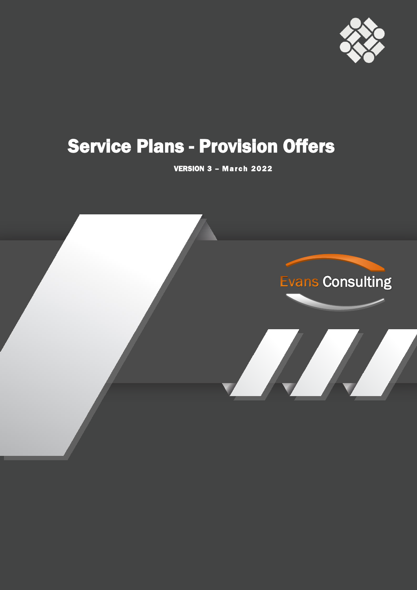

# **Service Plans - Provision Offers**

VERSION 3 - March 2022

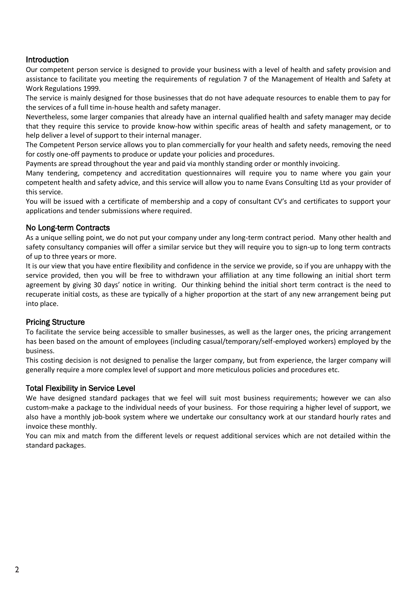## Introduction

Our competent person service is designed to provide your business with a level of health and safety provision and assistance to facilitate you meeting the requirements of regulation 7 of the Management of Health and Safety at Work Regulations 1999.

The service is mainly designed for those businesses that do not have adequate resources to enable them to pay for the services of a full time in-house health and safety manager.

Nevertheless, some larger companies that already have an internal qualified health and safety manager may decide that they require this service to provide know-how within specific areas of health and safety management, or to help deliver a level of support to their internal manager.

The Competent Person service allows you to plan commercially for your health and safety needs, removing the need for costly one-off payments to produce or update your policies and procedures.

Payments are spread throughout the year and paid via monthly standing order or monthly invoicing.

Many tendering, competency and accreditation questionnaires will require you to name where you gain your competent health and safety advice, and this service will allow you to name Evans Consulting Ltd as your provider of this service.

You will be issued with a certificate of membership and a copy of consultant CV's and certificates to support your applications and tender submissions where required.

### No Long-term Contracts

As a unique selling point, we do not put your company under any long-term contract period. Many other health and safety consultancy companies will offer a similar service but they will require you to sign-up to long term contracts of up to three years or more.

It is our view that you have entire flexibility and confidence in the service we provide, so if you are unhappy with the service provided, then you will be free to withdrawn your affiliation at any time following an initial short term agreement by giving 30 days' notice in writing. Our thinking behind the initial short term contract is the need to recuperate initial costs, as these are typically of a higher proportion at the start of any new arrangement being put into place.

### Pricing Structure

To facilitate the service being accessible to smaller businesses, as well as the larger ones, the pricing arrangement has been based on the amount of employees (including casual/temporary/self-employed workers) employed by the business.

This costing decision is not designed to penalise the larger company, but from experience, the larger company will generally require a more complex level of support and more meticulous policies and procedures etc.

#### Total Flexibility in Service Level

We have designed standard packages that we feel will suit most business requirements; however we can also custom-make a package to the individual needs of your business. For those requiring a higher level of support, we also have a monthly job-book system where we undertake our consultancy work at our standard hourly rates and invoice these monthly.

You can mix and match from the different levels or request additional services which are not detailed within the standard packages.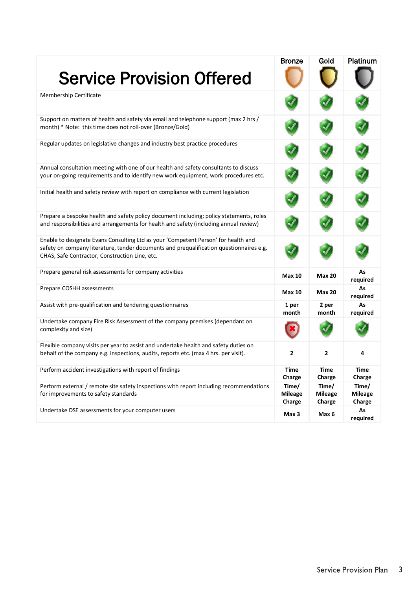| <b>Service Provision Offered</b>                                                                                                                                                                                                | <b>Bronze</b>                     | Gold                              | Platinum                          |
|---------------------------------------------------------------------------------------------------------------------------------------------------------------------------------------------------------------------------------|-----------------------------------|-----------------------------------|-----------------------------------|
| Membership Certificate                                                                                                                                                                                                          |                                   |                                   |                                   |
| Support on matters of health and safety via email and telephone support (max 2 hrs /<br>month) * Note: this time does not roll-over (Bronze/Gold)                                                                               |                                   |                                   |                                   |
| Regular updates on legislative changes and industry best practice procedures                                                                                                                                                    |                                   |                                   |                                   |
| Annual consultation meeting with one of our health and safety consultants to discuss<br>your on-going requirements and to identify new work equipment, work procedures etc.                                                     |                                   |                                   |                                   |
| Initial health and safety review with report on compliance with current legislation                                                                                                                                             |                                   |                                   |                                   |
| Prepare a bespoke health and safety policy document including; policy statements, roles<br>and responsibilities and arrangements for health and safety (including annual review)                                                |                                   |                                   |                                   |
| Enable to designate Evans Consulting Ltd as your 'Competent Person' for health and<br>safety on company literature, tender documents and prequalification questionnaires e.g.<br>CHAS, Safe Contractor, Construction Line, etc. |                                   |                                   |                                   |
| Prepare general risk assessments for company activities                                                                                                                                                                         | <b>Max 10</b>                     | <b>Max 20</b>                     | As<br>required                    |
| Prepare COSHH assessments                                                                                                                                                                                                       | <b>Max 10</b>                     | <b>Max 20</b>                     | As<br>required                    |
| Assist with pre-qualification and tendering questionnaires                                                                                                                                                                      | 1 per<br>month                    | 2 per<br>month                    | As<br>required                    |
| Undertake company Fire Risk Assessment of the company premises (dependant on<br>complexity and size)                                                                                                                            |                                   |                                   |                                   |
| Flexible company visits per year to assist and undertake health and safety duties on<br>behalf of the company e.g. inspections, audits, reports etc. (max 4 hrs. per visit).                                                    | 2                                 | 2                                 | 4                                 |
| Perform accident investigations with report of findings                                                                                                                                                                         | <b>Time</b><br>Charge             | Time<br>Charge                    | Time<br>Charge                    |
| Perform external / remote site safety inspections with report including recommendations<br>for improvements to safety standards                                                                                                 | Time/<br><b>Mileage</b><br>Charge | Time/<br><b>Mileage</b><br>Charge | Time/<br><b>Mileage</b><br>Charge |
| Undertake DSE assessments for your computer users                                                                                                                                                                               | Max 3                             | Max 6                             | As<br>required                    |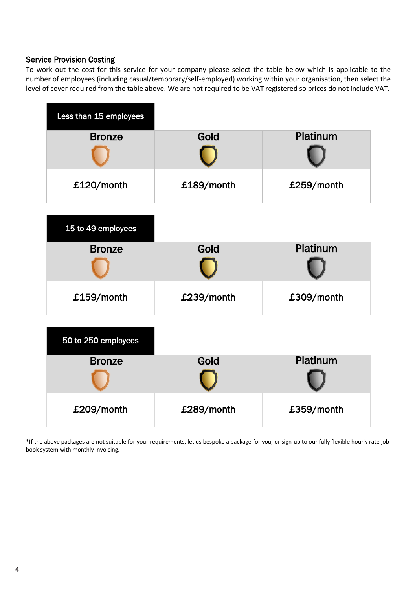#### Service Provision Costing

To work out the cost for this service for your company please select the table below which is applicable to the number of employees (including casual/temporary/self-employed) working within your organisation, then select the level of cover required from the table above. We are not required to be VAT registered so prices do not include VAT.



\*If the above packages are not suitable for your requirements, let us bespoke a package for you, or sign-up to our fully flexible hourly rate jobbook system with monthly invoicing.